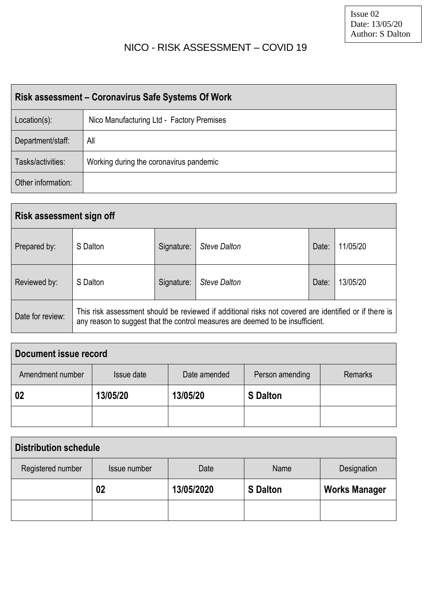## NICO - RISK ASSESSMENT – COVID 19

| Risk assessment – Coronavirus Safe Systems Of Work |                                           |  |  |  |  |  |  |  |
|----------------------------------------------------|-------------------------------------------|--|--|--|--|--|--|--|
| $Location(s)$ :                                    | Nico Manufacturing Ltd - Factory Premises |  |  |  |  |  |  |  |
| Department/staff:                                  | All                                       |  |  |  |  |  |  |  |
| Tasks/activities:                                  | Working during the coronavirus pandemic   |  |  |  |  |  |  |  |
| Other information:                                 |                                           |  |  |  |  |  |  |  |

| <b>Risk assessment sign off</b> |          |            |                                                                                                                                                                                         |       |          |  |  |  |  |  |  |
|---------------------------------|----------|------------|-----------------------------------------------------------------------------------------------------------------------------------------------------------------------------------------|-------|----------|--|--|--|--|--|--|
| Prepared by:                    | S Dalton | Signature: | Steve Dalton                                                                                                                                                                            | Date: | 11/05/20 |  |  |  |  |  |  |
| Reviewed by:                    | S Dalton | Signature: | <b>Steve Dalton</b>                                                                                                                                                                     | Date: | 13/05/20 |  |  |  |  |  |  |
| Date for review:                |          |            | This risk assessment should be reviewed if additional risks not covered are identified or if there is<br>any reason to suggest that the control measures are deemed to be insufficient. |       |          |  |  |  |  |  |  |

| Document issue record |            |              |                 |                |  |  |  |  |  |  |  |  |
|-----------------------|------------|--------------|-----------------|----------------|--|--|--|--|--|--|--|--|
| Amendment number      | Issue date | Date amended | Person amending | <b>Remarks</b> |  |  |  |  |  |  |  |  |
| 02                    | 13/05/20   | 13/05/20     | <b>S</b> Dalton |                |  |  |  |  |  |  |  |  |
|                       |            |              |                 |                |  |  |  |  |  |  |  |  |

| <b>Distribution schedule</b> |              |            |                 |                      |  |  |  |  |  |  |  |  |
|------------------------------|--------------|------------|-----------------|----------------------|--|--|--|--|--|--|--|--|
| Registered number            | Issue number | Date       | Name            | Designation          |  |  |  |  |  |  |  |  |
|                              | 02           | 13/05/2020 | <b>S</b> Dalton | <b>Works Manager</b> |  |  |  |  |  |  |  |  |
|                              |              |            |                 |                      |  |  |  |  |  |  |  |  |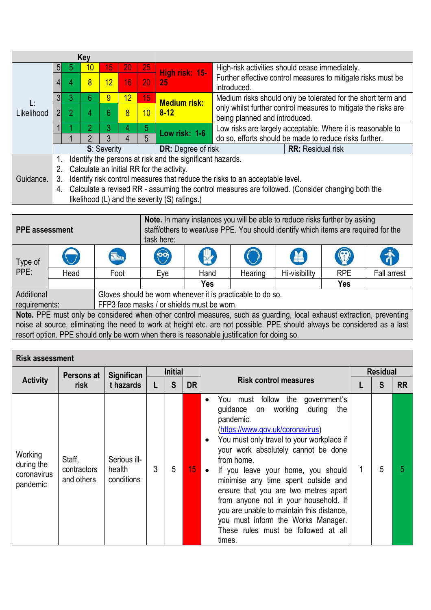|            |                |                | Key |             |                 |    |                                                           |                                                                                                  |  |  |  |
|------------|----------------|----------------|-----|-------------|-----------------|----|-----------------------------------------------------------|--------------------------------------------------------------------------------------------------|--|--|--|
|            | 51             | b              | 10  | 15          | 20 <sub>1</sub> | 25 |                                                           | High-risk activities should cease immediately.                                                   |  |  |  |
|            | 4              | 4              | 8   | 12          | 16              | 20 | High risk: 15-<br>25                                      | Further effective control measures to mitigate risks must be<br>introduced.                      |  |  |  |
| Ŀ          | 3              |                | 6   | 9           | 12              | 15 | <b>Medium risk:</b>                                       | Medium risks should only be tolerated for the short term and                                     |  |  |  |
| Likelihood | 2 <sub>l</sub> | $\overline{2}$ | 4   | 6           | 8               | 10 | $8 - 12$                                                  | only whilst further control measures to mitigate the risks are<br>being planned and introduced.  |  |  |  |
|            |                |                | 2   |             | 4               | 5  | Low risk: 1-6                                             | Low risks are largely acceptable. Where it is reasonable to                                      |  |  |  |
|            |                |                |     |             |                 |    |                                                           | do so, efforts should be made to reduce risks further.                                           |  |  |  |
|            |                |                |     | S: Severity |                 |    | <b>DR:</b> Degree of risk                                 | <b>RR:</b> Residual risk                                                                         |  |  |  |
|            |                |                |     |             |                 |    | Identify the persons at risk and the significant hazards. |                                                                                                  |  |  |  |
|            | 2.             |                |     |             |                 |    | Calculate an initial RR for the activity.                 |                                                                                                  |  |  |  |
| Guidance.  | 3.             |                |     |             |                 |    |                                                           | Identify risk control measures that reduce the risks to an acceptable level.                     |  |  |  |
|            | 4.             |                |     |             |                 |    | likelihood (L) and the severity (S) ratings.)             | Calculate a revised RR - assuming the control measures are followed. (Consider changing both the |  |  |  |

| <b>PPE</b> assessment |      |                                                                                                                          | <b>Note.</b> In many instances you will be able to reduce risks further by asking<br>staff/others to wear/use PPE. You should identify which items are required for the<br>task here: |                                            |         |                             |            |                    |  |  |  |
|-----------------------|------|--------------------------------------------------------------------------------------------------------------------------|---------------------------------------------------------------------------------------------------------------------------------------------------------------------------------------|--------------------------------------------|---------|-----------------------------|------------|--------------------|--|--|--|
| Type of               |      | <b>Read</b>                                                                                                              | 00                                                                                                                                                                                    | <b>N</b>                                   |         | $\left  \mathbf{H} \right $ | O          | 希                  |  |  |  |
| PPE:                  | Head | Foot                                                                                                                     | Eye                                                                                                                                                                                   | Hand                                       | Hearing | Hi-visibility               | <b>RPE</b> | <b>Fall arrest</b> |  |  |  |
|                       |      |                                                                                                                          |                                                                                                                                                                                       | Yes                                        |         |                             | <b>Yes</b> |                    |  |  |  |
| <b>Additional</b>     |      |                                                                                                                          | Gloves should be worn whenever it is practicable to do so.                                                                                                                            |                                            |         |                             |            |                    |  |  |  |
| requirements:         |      |                                                                                                                          |                                                                                                                                                                                       | FFP3 face masks / or shields must be worn. |         |                             |            |                    |  |  |  |
|                       |      | Note. PPE must only be considered when other control measures, such as guarding, local exhaust extraction, preventing    |                                                                                                                                                                                       |                                            |         |                             |            |                    |  |  |  |
|                       |      | noise at source, eliminating the need to work at height etc. are not possible. PPE should always be considered as a last |                                                                                                                                                                                       |                                            |         |                             |            |                    |  |  |  |
|                       |      | resort option. PPE should only be worn when there is reasonable justification for doing so.                              |                                                                                                                                                                                       |                                            |         |                             |            |                    |  |  |  |

| <b>Risk assessment</b>                           |                                     |                                      |                |   |                 |                                                                                                                                                                                                                                                                                                                                                                                                                                                                                                                                                                         |                 |   |           |
|--------------------------------------------------|-------------------------------------|--------------------------------------|----------------|---|-----------------|-------------------------------------------------------------------------------------------------------------------------------------------------------------------------------------------------------------------------------------------------------------------------------------------------------------------------------------------------------------------------------------------------------------------------------------------------------------------------------------------------------------------------------------------------------------------------|-----------------|---|-----------|
|                                                  | Persons at                          | <b>Significan</b>                    | <b>Initial</b> |   |                 |                                                                                                                                                                                                                                                                                                                                                                                                                                                                                                                                                                         | <b>Residual</b> |   |           |
| <b>Activity</b>                                  | risk                                | t hazards                            |                | S | <b>DR</b>       | <b>Risk control measures</b>                                                                                                                                                                                                                                                                                                                                                                                                                                                                                                                                            |                 | S | <b>RR</b> |
| Working<br>during the<br>coronavirus<br>pandemic | Staff,<br>contractors<br>and others | Serious ill-<br>health<br>conditions | 3              | 5 | 15 <sub>1</sub> | You must follow the<br>government's<br>$\bullet$<br>guidance on working<br>during<br>the<br>pandemic.<br>(https://www.gov.uk/coronavirus)<br>You must only travel to your workplace if<br>$\bullet$<br>your work absolutely cannot be done<br>from home.<br>If you leave your home, you should<br>$\bullet$<br>minimise any time spent outside and<br>ensure that you are two metres apart<br>from anyone not in your household. If<br>you are unable to maintain this distance,<br>you must inform the Works Manager.<br>These rules must be followed at all<br>times. |                 | 5 | 5         |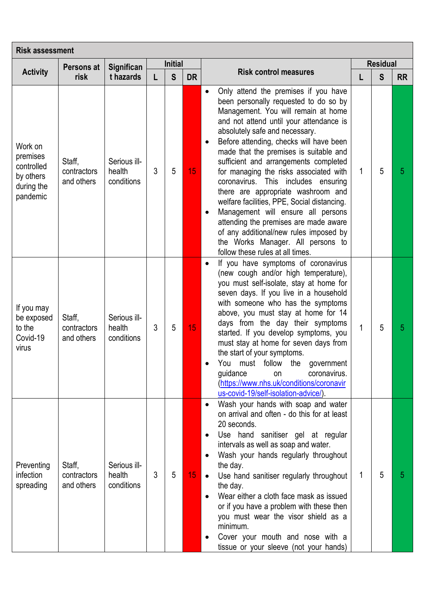|                                                                          | Persons at                          | Significan                           |                                                                                                                                                                                                                                                                                                                                                                                                                                                                                                                                                                                                                                                                                                                                                                                                                                                                                                                                                                                                                                                                                                                                                                                                                                                                           |   |    |                                                                                                                                                                                                                                                                                                                                                                                                                                                                                                                                                          |   | <b>Residual</b> |   |
|--------------------------------------------------------------------------|-------------------------------------|--------------------------------------|---------------------------------------------------------------------------------------------------------------------------------------------------------------------------------------------------------------------------------------------------------------------------------------------------------------------------------------------------------------------------------------------------------------------------------------------------------------------------------------------------------------------------------------------------------------------------------------------------------------------------------------------------------------------------------------------------------------------------------------------------------------------------------------------------------------------------------------------------------------------------------------------------------------------------------------------------------------------------------------------------------------------------------------------------------------------------------------------------------------------------------------------------------------------------------------------------------------------------------------------------------------------------|---|----|----------------------------------------------------------------------------------------------------------------------------------------------------------------------------------------------------------------------------------------------------------------------------------------------------------------------------------------------------------------------------------------------------------------------------------------------------------------------------------------------------------------------------------------------------------|---|-----------------|---|
| <b>Activity</b>                                                          | risk                                | t hazards                            | <b>Initial</b><br><b>Risk control measures</b><br>S<br><b>DR</b><br>L<br>Only attend the premises if you have<br>$\bullet$<br>been personally requested to do so by<br>Management. You will remain at home<br>and not attend until your attendance is<br>absolutely safe and necessary.<br>Before attending, checks will have been<br>$\bullet$<br>made that the premises is suitable and<br>sufficient and arrangements completed<br>3<br>5<br>15<br>for managing the risks associated with<br>coronavirus. This includes ensuring<br>there are appropriate washroom and<br>welfare facilities, PPE, Social distancing.<br>Management will ensure all persons<br>$\bullet$<br>attending the premises are made aware<br>of any additional/new rules imposed by<br>the Works Manager. All persons to<br>follow these rules at all times.<br>If you have symptoms of coronavirus<br>$\bullet$<br>(new cough and/or high temperature),<br>you must self-isolate, stay at home for<br>seven days. If you live in a household<br>with someone who has the symptoms<br>above, you must stay at home for 14<br>days from the day their symptoms<br>3<br>5<br>15<br>started. If you develop symptoms, you<br>must stay at home for seven days from<br>the start of your symptoms. | L | S  | <b>RR</b>                                                                                                                                                                                                                                                                                                                                                                                                                                                                                                                                                |   |                 |   |
| Work on<br>premises<br>controlled<br>by others<br>during the<br>pandemic | Staff,<br>contractors<br>and others | Serious ill-<br>health<br>conditions |                                                                                                                                                                                                                                                                                                                                                                                                                                                                                                                                                                                                                                                                                                                                                                                                                                                                                                                                                                                                                                                                                                                                                                                                                                                                           |   |    |                                                                                                                                                                                                                                                                                                                                                                                                                                                                                                                                                          | 1 | 5               | 5 |
| If you may<br>be exposed<br>to the<br>Covid-19<br>virus                  | Staff,<br>contractors<br>and others | Serious ill-<br>health<br>conditions |                                                                                                                                                                                                                                                                                                                                                                                                                                                                                                                                                                                                                                                                                                                                                                                                                                                                                                                                                                                                                                                                                                                                                                                                                                                                           |   |    | You must follow the<br>government<br>guidance<br>coronavirus.<br>on<br>(https://www.nhs.uk/conditions/coronavir<br>us-covid-19/self-isolation-advice/).                                                                                                                                                                                                                                                                                                                                                                                                  | 1 | 5               | 5 |
| Preventing<br>infection<br>spreading                                     | Staff,<br>contractors<br>and others | Serious ill-<br>health<br>conditions | 3                                                                                                                                                                                                                                                                                                                                                                                                                                                                                                                                                                                                                                                                                                                                                                                                                                                                                                                                                                                                                                                                                                                                                                                                                                                                         | 5 | 15 | Wash your hands with soap and water<br>$\bullet$<br>on arrival and often - do this for at least<br>20 seconds.<br>Use hand sanitiser gel at regular<br>$\bullet$<br>intervals as well as soap and water.<br>Wash your hands regularly throughout<br>the day.<br>Use hand sanitiser regularly throughout<br>$\bullet$<br>the day.<br>Wear either a cloth face mask as issued<br>or if you have a problem with these then<br>you must wear the visor shield as a<br>minimum.<br>Cover your mouth and nose with a<br>tissue or your sleeve (not your hands) | 1 | 5               | 5 |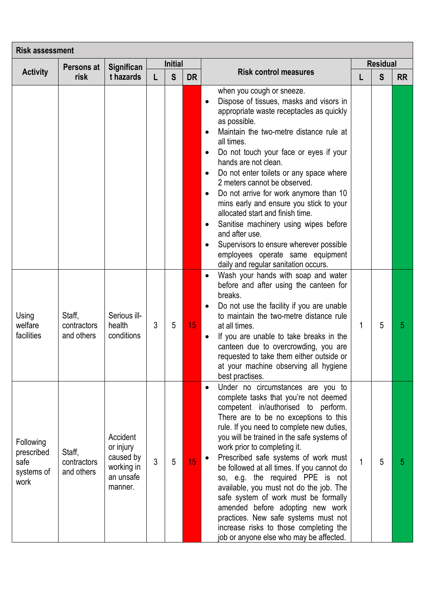| <b>Risk assessment</b>                                |                                     |                                                                          |                |                |                 |                                                                                                                                                                                                                                                                                                                                                                                                                                                                                                                                                                                                                                                                                                                                              |   |                 |           |
|-------------------------------------------------------|-------------------------------------|--------------------------------------------------------------------------|----------------|----------------|-----------------|----------------------------------------------------------------------------------------------------------------------------------------------------------------------------------------------------------------------------------------------------------------------------------------------------------------------------------------------------------------------------------------------------------------------------------------------------------------------------------------------------------------------------------------------------------------------------------------------------------------------------------------------------------------------------------------------------------------------------------------------|---|-----------------|-----------|
|                                                       | Persons at                          | Significan                                                               |                | <b>Initial</b> |                 | <b>Risk control measures</b>                                                                                                                                                                                                                                                                                                                                                                                                                                                                                                                                                                                                                                                                                                                 |   | <b>Residual</b> |           |
| <b>Activity</b>                                       | risk                                | t hazards                                                                |                | S              | <b>DR</b>       |                                                                                                                                                                                                                                                                                                                                                                                                                                                                                                                                                                                                                                                                                                                                              | L | S               | <b>RR</b> |
|                                                       |                                     |                                                                          |                |                |                 | when you cough or sneeze.<br>Dispose of tissues, masks and visors in<br>$\bullet$<br>appropriate waste receptacles as quickly<br>as possible.<br>Maintain the two-metre distance rule at<br>$\bullet$<br>all times.<br>Do not touch your face or eyes if your<br>$\bullet$<br>hands are not clean.<br>Do not enter toilets or any space where<br>$\bullet$<br>2 meters cannot be observed.<br>Do not arrive for work anymore than 10<br>$\bullet$<br>mins early and ensure you stick to your<br>allocated start and finish time.<br>Sanitise machinery using wipes before<br>$\bullet$<br>and after use.<br>Supervisors to ensure wherever possible<br>$\bullet$<br>employees operate same equipment<br>daily and regular sanitation occurs. |   |                 |           |
| Using<br>welfare<br>facilities                        | Staff,<br>contractors<br>and others | Serious ill-<br>health<br>conditions                                     | 3              | 5              | 15 <sub>1</sub> | Wash your hands with soap and water<br>$\bullet$<br>before and after using the canteen for<br>breaks.<br>Do not use the facility if you are unable<br>$\bullet$<br>to maintain the two-metre distance rule<br>at all times.<br>If you are unable to take breaks in the<br>$\bullet$<br>canteen due to overcrowding, you are<br>requested to take them either outside or<br>at your machine observing all hygiene<br>best practises.                                                                                                                                                                                                                                                                                                          | 1 | 5               | 5         |
| Following<br>prescribed<br>safe<br>systems of<br>work | Staff,<br>contractors<br>and others | Accident<br>or injury<br>caused by<br>working in<br>an unsafe<br>manner. | $\mathfrak{Z}$ | 5              | 15              | Under no circumstances are you to<br>$\bullet$<br>complete tasks that you're not deemed<br>competent in/authorised to perform.<br>There are to be no exceptions to this<br>rule. If you need to complete new duties,<br>you will be trained in the safe systems of<br>work prior to completing it.<br>Prescribed safe systems of work must<br>$\bullet$<br>be followed at all times. If you cannot do<br>so, e.g. the required PPE is not<br>available, you must not do the job. The<br>safe system of work must be formally<br>amended before adopting new work<br>practices. New safe systems must not<br>increase risks to those completing the<br>job or anyone else who may be affected.                                                | 1 | 5               | 5         |